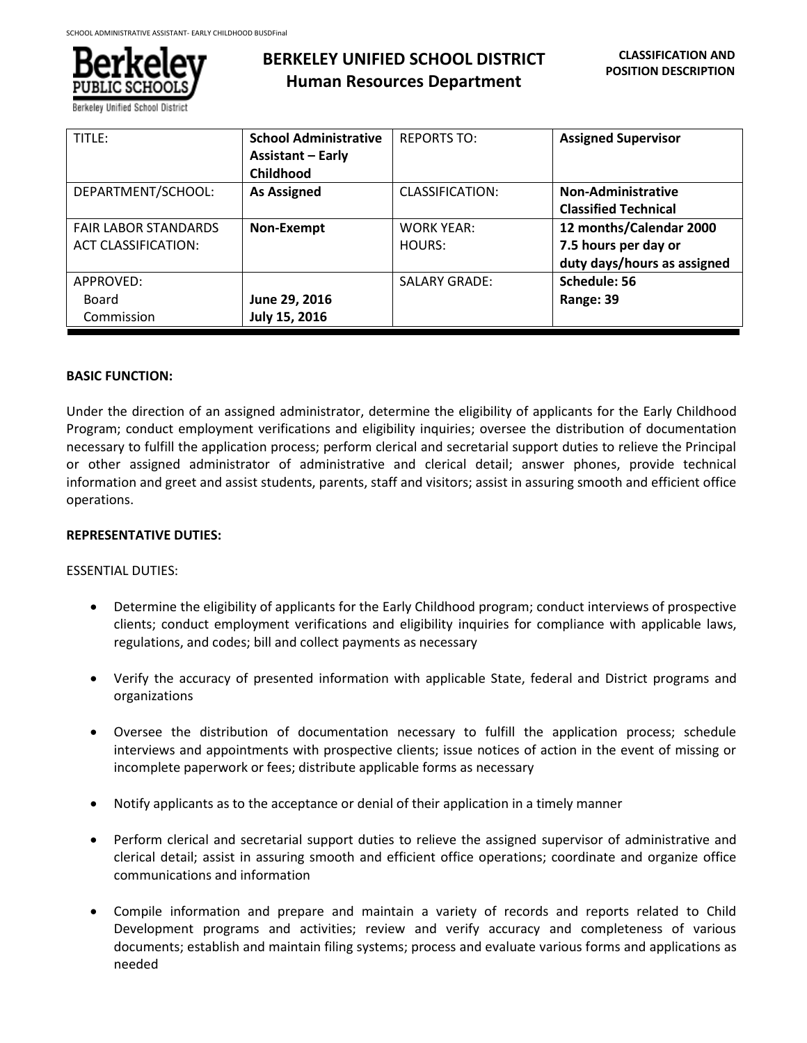

| TITLE:                                                    | <b>School Administrative</b><br><b>Assistant - Early</b><br>Childhood | <b>REPORTS TO:</b>          | <b>Assigned Supervisor</b>                                                     |
|-----------------------------------------------------------|-----------------------------------------------------------------------|-----------------------------|--------------------------------------------------------------------------------|
| DEPARTMENT/SCHOOL:                                        | <b>As Assigned</b>                                                    | CLASSIFICATION:             | <b>Non-Administrative</b><br><b>Classified Technical</b>                       |
| <b>FAIR LABOR STANDARDS</b><br><b>ACT CLASSIFICATION:</b> | Non-Exempt                                                            | <b>WORK YEAR:</b><br>HOURS: | 12 months/Calendar 2000<br>7.5 hours per day or<br>duty days/hours as assigned |
| APPROVED:<br>Board<br>Commission                          | June 29, 2016<br>July 15, 2016                                        | <b>SALARY GRADE:</b>        | Schedule: 56<br>Range: 39                                                      |

#### **BASIC FUNCTION:**

Under the direction of an assigned administrator, determine the eligibility of applicants for the Early Childhood Program; conduct employment verifications and eligibility inquiries; oversee the distribution of documentation necessary to fulfill the application process; perform clerical and secretarial support duties to relieve the Principal or other assigned administrator of administrative and clerical detail; answer phones, provide technical information and greet and assist students, parents, staff and visitors; assist in assuring smooth and efficient office operations.

#### **REPRESENTATIVE DUTIES:**

#### ESSENTIAL DUTIES:

- Determine the eligibility of applicants for the Early Childhood program; conduct interviews of prospective clients; conduct employment verifications and eligibility inquiries for compliance with applicable laws, regulations, and codes; bill and collect payments as necessary
- Verify the accuracy of presented information with applicable State, federal and District programs and organizations
- Oversee the distribution of documentation necessary to fulfill the application process; schedule interviews and appointments with prospective clients; issue notices of action in the event of missing or incomplete paperwork or fees; distribute applicable forms as necessary
- Notify applicants as to the acceptance or denial of their application in a timely manner
- Perform clerical and secretarial support duties to relieve the assigned supervisor of administrative and clerical detail; assist in assuring smooth and efficient office operations; coordinate and organize office communications and information
- Compile information and prepare and maintain a variety of records and reports related to Child Development programs and activities; review and verify accuracy and completeness of various documents; establish and maintain filing systems; process and evaluate various forms and applications as needed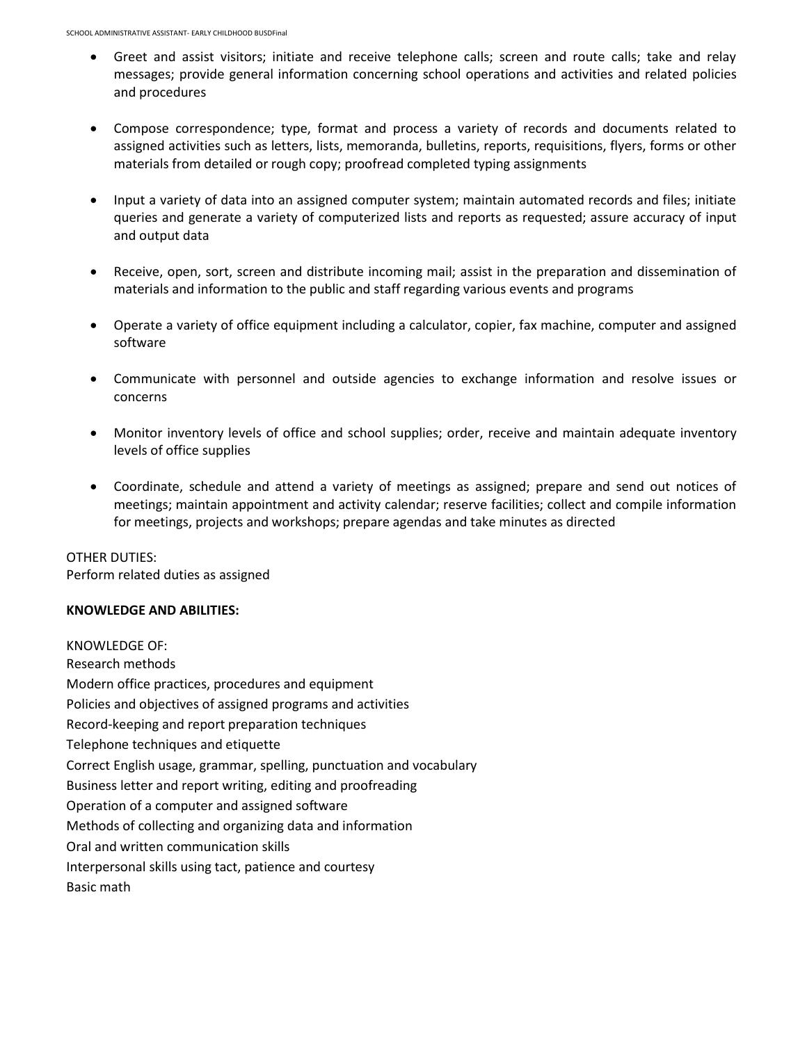- Greet and assist visitors; initiate and receive telephone calls; screen and route calls; take and relay messages; provide general information concerning school operations and activities and related policies and procedures
- Compose correspondence; type, format and process a variety of records and documents related to assigned activities such as letters, lists, memoranda, bulletins, reports, requisitions, flyers, forms or other materials from detailed or rough copy; proofread completed typing assignments
- Input a variety of data into an assigned computer system; maintain automated records and files; initiate queries and generate a variety of computerized lists and reports as requested; assure accuracy of input and output data
- Receive, open, sort, screen and distribute incoming mail; assist in the preparation and dissemination of materials and information to the public and staff regarding various events and programs
- Operate a variety of office equipment including a calculator, copier, fax machine, computer and assigned software
- Communicate with personnel and outside agencies to exchange information and resolve issues or concerns
- Monitor inventory levels of office and school supplies; order, receive and maintain adequate inventory levels of office supplies
- Coordinate, schedule and attend a variety of meetings as assigned; prepare and send out notices of meetings; maintain appointment and activity calendar; reserve facilities; collect and compile information for meetings, projects and workshops; prepare agendas and take minutes as directed

OTHER DUTIES: Perform related duties as assigned

# **KNOWLEDGE AND ABILITIES:**

KNOWLEDGE OF: Research methods Modern office practices, procedures and equipment Policies and objectives of assigned programs and activities Record-keeping and report preparation techniques Telephone techniques and etiquette Correct English usage, grammar, spelling, punctuation and vocabulary Business letter and report writing, editing and proofreading Operation of a computer and assigned software Methods of collecting and organizing data and information Oral and written communication skills Interpersonal skills using tact, patience and courtesy Basic math